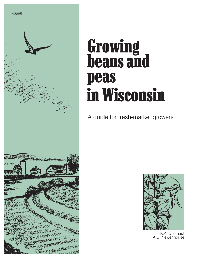

# Growing beans and peas in Wisconsin

A guide for fresh-market growers



K.A. Delahaut A.C. Newenhouse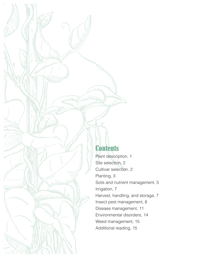# **Contents**

 $\mathcal{N}^{\rm eff}$ 

mucratic ...

Plant description, 1 Site selection, 2 Cultivar selection, 2 Planting, 3 Soils and nutrient management, 5 Irrigation, 7 Harvest, handling, and storage, 7 Insect pest management, 8 Disease management, 11 Environmental disorders, 14 Weed management, 15 Additional reading, 15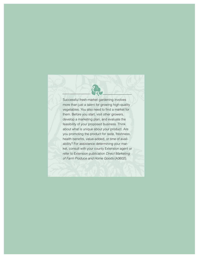Successful fresh-market gardening involves more than just a talent for growing high-quality vegetables. You also need to find a market for them. Before you start, visit other growers, develop a marketing plan, and evaluate the feasibility of your proposed business. Think about what is unique about your product. Are you promoting the product for taste, freshness, health benefits, value-added, or time of availability? For assistance determining your market, consult with your county Extension agent or refer to Extension publication Direct Marketing of Farm Produce and Home Goods (A3602).

R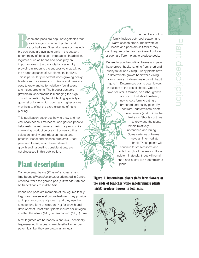eans and peas are popular vegetables that provide a good source of protein and carbohydrates. Specialty peas such as edible pod peas are available early in the season, before many of the staple vegetables. In addition, legumes such as beans and peas play an important role in the crop rotation system by providing nitrogen to the successive crop without the added expense of supplemental fertilizer. This is particularly important when growing heavy feeders such as sweet corn. Beans and peas are easy to grow and suffer relatively few disease and insect problems. The biggest obstacle growers must overcome is managing the high cost of harvesting by hand. Planting specialty or gourmet cultivars which command higher prices may help to offset the extra expense of hand picking.

This publication describes how to grow and harvest snap beans, lima beans, and garden peas to help fresh market growers maximize yields while minimizing production costs. It covers cultivar selection, fertility and irrigation needs, and potential insect and disease problems. Dried peas and beans, which have different growth and harvesting considerations, are not discussed in this publication.

# Plant description

Common snap beans (Phaseolus vulgaris) and lima beans (Phaseolus lunatus) originated in Central America, while the garden pea (Pisum sativum) can be traced back to middle Asia.

Beans and peas are members of the legume family. Legumes have several unique features. They provide an important source of protein, and they use the atmospheric form of nitrogen  $(N_2)$  for growth and development. Most other plants require soil nitrogen in either the nitrate  $(NO<sub>3</sub><sup>-</sup>)$  or ammonium  $(NH<sub>4</sub><sup>+</sup>)$  form.

Most legumes are herbaceous annuals. Technically, large-seeded lima beans are classified as tender perennials, but they are grown as annuals.

The members of this family include both cool-season and warm-season crops. The flowers of beans and peas are self-fertile; they don't require pollen from a different cultivar or even a different plant to produce pods.

Depending on the cultivar, beans and peas have growth habits ranging from short and bushy to tall and vining. Bushy plants have a determinate growth habit while vining plants have an indeterminate growth habit (figure 1). Determinate plants bear flowers in clusters at the tips of shoots. Once a flower cluster is formed, no further growth occurs on that shoot. Instead, new shoots form, creating a branched and bushy plant. By contrast, indeterminate plants bear flowers (and fruit) in the leaf axils. Shoots continue to grow and the plants remain relatively unbranched and vining. Some varieties of beans have an intermediate habit. These plants will continue to set blossoms and pods throughout the season like an indeterminate plant, but will remain short and bushy like a determinate plant.

Figure 1. Determinate plants (left) form flowers at the ends of branches while indeterminate plants (right) produce flowers in leaf axils.

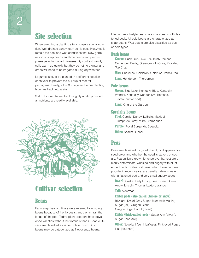

# Site selection

When selecting a planting site, choose a sunny location. Well-drained sandy loam soil is best. Heavy soils remain too cool and wet, conditions that slow germination of snap beans and lima beans and predisposes peas to root rot diseases. By contrast, sandy soils warm up quickly but they do not hold water and crops will need to be irrigated during dry weather.

Legumes should be planted in a different location each year to prevent the buildup of root rot pathogens. Ideally, allow 3 to 4 years before planting legumes back into a site.

Soil pH should be neutral to slightly acidic provided all nutrients are readily available.



# Cultivar selection

### Beans

Early snap bean cultivars were referred to as string beans because of the fibrous strands which ran the length of the pod. Today, plant breeders have developed varieties without the fibrous strands. Bean cultivars are classified as either pole or bush. Bush beans may be categorized as filet or snap beans.

Filet, or French-style beans, are snap beans with flattened pods. All pole beans are characterized as snap beans. Wax beans are also classified as bush or pole types.

#### Bush beans

Green: Bush Blue Lake 274, Bush Romano, Contender, Derby, Greencrop, HyStyle, Provider, Top Crop

Wax: Cherokee, Goldcrop, Goldrush, Pencil Pod

Lima: Henderson, Thorogreen

#### Pole beans

**Green:** Blue Lake, Kentucky Blue, Kentucky Wonder, Kentucky Wonder 125, Romano, Trionfo (purple pod)

**Lima:** King of the Garden

#### Specialty beans

Filet: Camile, Dandy, LaBelle, Maxibel, Triumph de Farcy, Vilbel, Vernandon

**Purple:** Royal Burgundy, Sequoia

**Other:** Scarlet Runner

### Peas

Peas are classified by growth habit, pod appearance, seed color, and whether the seed is starchy or sugary. Pea cultivars grown for once-over harvest are primarily determinate, wrinkled and sugary with bluntended pods. Edible pod peas, which have become popular in recent years, are usually indeterminate with a flattened pod and very small sugary seeds.

**Dwarf:** Alaska, Early Frosty, Freezonian, Green Arrow, Lincoln, Thomas Laxton, Wando

Tall: Alderman

Edible pods (also called Chinese or Snow):

Blizzard, Dwarf Gray Sugar, Mammoth Melting Sugar (tall), Oregon Giant,

Oregon Sugar Pod II (dwarf)

**Edible (thick-walled pods):** Sugar Ann (dwarf), Sugar Snap (tall)

**Other:** Novella II (semi-leafless), Pink-eyed Purple Hull (southern)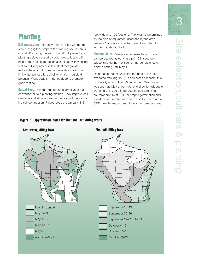# **Planting**

Soil preparation. For early peas on sites where erosion is negligible, prepare the planting site the previous fall. Preparing the soil in the fall will prevent any planting delays caused by cold, wet soils and will help reduce soil compaction associated with working wet soils. Compacted soils restrict root growth, reduce the amount of oxygen available to roots, and limit water penetration, all of which can hurt yield potential. Work beds 6–7 inches deep to promote good rooting.

Raised beds. Raised beds are an alternative to the conventional field planting method. They improve soil drainage and allow access to the crop without causing soil compaction. Raised beds are typically 4–5

feet wide and 100 feet long. The width is determined by the type of equipment used and by the crop. Leave a 1-foot aisle on either side of each bed to accommodate foot traffic.

Planting dates. Peas are a cool-weather crop and can be planted as early as April 15 in southern Wisconsin. Northern Wisconsin gardeners should delay planting until May 1.

Do not plant beans until after the date of the last expected frost (figure 2). In southern Wisconsin, this is typically around May 20. In northern Wisconsin, wait until late May or early June to allow for adequate warming of the soil. Snap beans need a minimum soil temperature of 50°F for proper germination and growth while lima beans require a soil temperature of 65°F. Lima beans also require warmer temperatures

# Last spring killing frost The Team of Team Pirst fall killing frost September 13–19 September 20–26 September 27–October 3 October 4–10 October 11–17 October 18–24 May 31–June 6 May 24–30 May 17– 23 May 10–16 May 3–9 April 26–May 2

#### Figure 2. Approximate dates for first and last killing frosts.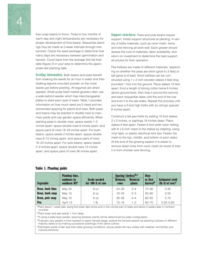

than snap beans to thrive. Three to four months of warm day and night temperatures are necessary for proper development of lima beans. Sequential plantings may be made at 2-week intervals through midsummer. Check the seed package to determine how many days are necessary between germination and harvest. Count back from the average first fall frost date (figure 2) in your area to determine the appropriate last planting date.

**Seeding information.** Both beans and peas benefit from soaking the seeds for an hour in water and then shaking legume inoculant powder on the moist seeds just before planting. All legumes are direct seeded. Small-scale fresh market growers often use a walk-behind seeder which has interchangeable plates to plant each type of seed. Table 1 provides information on how much seed you'll need and recommended spacing for plants and rows. Both peas and beans may be planted in double rows to maximize yields and use garden space efficiently. When planting peas in double rows, space seeds 1–2 inches apart, space double rows 6 inches apart, and space pairs of rows 18–24 inches apart. For bush beans, space seeds 2 inches apart, space double rows 9–12 inches apart, and space pairs of rows 18–24 inches apart. For pole beans, space seeds 3–4 inches apart, space double rows 12 inches apart, and space pairs of rows 36 inches apart.

**Support structures.** Peas and pole beans require support. Install support structures at planting. A variety of trellis materials, such as nylon mesh, twine, and wire fencing all work well. Each grower should assess the cost of materials, labor availability, and return on investment to determine the best support structures for their operation.

Pea trellises are made of different materials, depending on whether the peas are short (grow to 3 feet) or tall (grow to 6 feet). Short trellises can be constructed using 1 x 2 inch wooden stakes 4 feet long pounded 1 foot into the ground. Place stakes 10 feet apart. Knot a length of strong cotton twine 6 inches above ground level, then loop it around the second and each sequential stake until the end of the row and knot it to the last stake. Repeat this process until you have a 3-foot high trellis with six strings spaced 6 inches apart.

Construct a tall pea trellis by setting 10-foot stakes, 2 x 2 inches, or saplings 18 inches deep. Place stakes 8 feet apart. Fasten 6 foot wide nylon netting with 6 x 6 inch mesh to the stakes by stapling, using vinyl tape, or plastic electrical wire ties. Fasten the mesh to the top, middle, and bottom of each stake. At the end of the growing season it is easier to remove dead vines from nylon mesh (to reuse it) than it is from chicken wire fencing.

| <b>Vegetable</b>       | <b>Planting time,</b><br>outdoors in<br>southern WI <sup>a</sup> | <b>Seeds needed</b><br>for 100 ft of row | Spacing (inches) $b,c$<br><b>Between</b><br><b>Between</b><br><b>plants</b><br><b>rows</b> |         | <b>Days</b><br>to first<br>harvest <sup>d</sup> | <b>Estimated yield</b><br>$(lb/ft$ of row) <sup>e</sup> |  |
|------------------------|------------------------------------------------------------------|------------------------------------------|--------------------------------------------------------------------------------------------|---------|-------------------------------------------------|---------------------------------------------------------|--|
| <b>Bean, bush lima</b> | May 25                                                           | 8 oz                                     | $24 - 30$                                                                                  | $3 - 4$ | $70 - 80$                                       | 0.30                                                    |  |
| <b>Bean, bush snap</b> | May 10                                                           | 8 oz                                     | $18 - 24$                                                                                  | $2 - 3$ | $50 - 60$                                       | 0.50                                                    |  |
| <b>Bean, pole snap</b> | May 10                                                           | 6 oz                                     | $30 - 36$                                                                                  | $3 - 4$ | $60 - 65$                                       | 0.70                                                    |  |
| <b>Pea</b>             | April 15                                                         | 1 <sub>lh</sub>                          | $15 - 18$                                                                                  | $1 - 2$ | $60 - 70$                                       | $0.25 - 0.50$                                           |  |

#### Table 1. Planting guide

aPlant about 1 week later along the lower lake shore and in the central part of state and about 2 weeks later in northern counties.

bPlant bean and pea seeds 1 inch deep.

<sup>c</sup>If using a plate-type seeder, spacing between plants will be determined by plate configuration.

dCultivars vary greatly in time needed to reach harvest stage; extend the harvest season by planting cultivars of different maturity dates or by making successive plantings of the same cultivar.

eEstimated yields under less than ideal growing conditions; actual yields will vary widely with weather, soil fertility and cultural practices.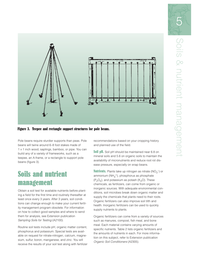



Figure 3. Teepee and rectangle support structures for pole beans.

Pole beans require sturdier supports than peas. Pole beans will twine around 6–8 foot stakes made of 1 x 1 inch wood, saplings, bamboo, or pipe. You can build any of a variety of frameworks, such as a teepee, an A-frame, or a rectangle to support pole beans (figure 3).

# Soils and nutrient management

Obtain a soil test for available nutrients before planting a field for the first time and routinely thereafter at least once every 3 years. After 3 years, soil conditions can change enough to make your current fertility management program obsolete. For information on how to collect good samples and where to send them for analysis, see Extension publication Sampling Soils for Testing (A2100).

Routine soil tests include pH, organic matter content, phosphorus and potassium. Special tests are available on request for nitrate-nitrogen, calcium, magnesium, sulfur, boron, manganese, and zinc. You will receive the results of your soil test along with fertilizer recommendations based on your cropping history and planned use of the field.

Soil pH. Soil pH should be maintained near 6.8 on mineral soils and 5.6 on organic soils to maintain the availability of micronutrients and reduce root rot disease pressure, especially on snap beans.

**Nutrients.** Plants take up nitrogen as nitrate (NO<sub>3</sub><sup>-</sup>) or ammonium (NH<sub>4</sub><sup>+</sup>), phosphorus as phosphate  $(P_2O_5)$ , and potassium as potash (K<sub>2</sub>O). These chemicals, as fertilizers, can come from organic or inorganic sources. With adequate environmental conditions, soil microbes break down organic matter and supply the chemicals that plants need to their roots. Organic fertilizers can also improve soil tilth and health. Inorganic fertilizers can be used to quickly supply nutrients to plants.

Organic fertilizers can come from a variety of sources such as manures, compost, fish meal, and bone meal. Each material contains varying amounts of specific nutrients. Table 2 lists organic fertilizers and the amounts of nutrients in each. For more information on this subject, refer to Extension publication Organic Soil Conditioners (A2305).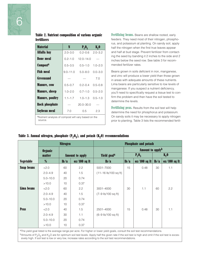

|                    |  | <b>Table 2. Nutrient composition of various organic</b> |  |  |
|--------------------|--|---------------------------------------------------------|--|--|
| <b>fertilizers</b> |  |                                                         |  |  |

| <b>Material</b>                                       | N            | P, 0 <sub>5</sub> | <b>K</b> <sub>2</sub> 0 |  |  |  |
|-------------------------------------------------------|--------------|-------------------|-------------------------|--|--|--|
| Alfalfa hay                                           | $2.0 - 3.0$  | $0.2 - 0.6$       | $2.0 - 3.2$             |  |  |  |
| <b>Bone meal</b>                                      | $0.2 - 1.0$  | $12.0 - 14.0$     |                         |  |  |  |
| <b>Composta</b>                                       | $0.5 - 3.5$  | $0.5 - 1.0$       | $1.0 - 2.0$             |  |  |  |
| <b>Fish meal</b>                                      | $9.0 - 11.0$ | $5.0 - 8.0$       | $0.0 - 3.0$             |  |  |  |
| <b>Greensand</b>                                      |              |                   | 7.0                     |  |  |  |
| <b>Manure, cow</b>                                    | $0.5 - 0.7$  | $0.2 - 0.4$       | $0.5 - 0.8$             |  |  |  |
| <b>Manure, sheep</b>                                  | $1.0 - 2.0$  | $0.7 - 1.0$       | $0.5 - 2.0$             |  |  |  |
| <b>Manure, poultry</b>                                | $1.1 - 1.7$  | $1.0 - 1.3$       | $0.5 - 1.0$             |  |  |  |
| <b>Rock phosphate</b>                                 |              | $20.0 - 30.0$     |                         |  |  |  |
| <b>Soybean meal</b>                                   | 7.0          | $0.5\,$           | 2.3                     |  |  |  |
| allutriant analysis of compost will yes begand on the |              |                   |                         |  |  |  |

'Nutrient analysis of compost will vary based on the source.

Fertilizing beans. Beans are shallow rooted, early feeders. They need most of their nitrogen, phosphorus, and potassium at planting. On sandy soil, apply half the nitrogen when the first true leaves appear and half at bud stage. Prevent fertilizer from contacting the seed by banding it 2 inches to the side and 2 inches below the seed row. See table 3 for recommended fertilizer rates.

Beans grown in soils deficient in iron, manganese, and zinc will produce a lower yield than those grown in areas with adequate amounts of these nutrients. Lima beans are particularly sensitive to low levels of manganese. If you suspect a nutrient deficiency, you'll need to specifically request a tissue test to confirm the problem and then have the soil tested to determine the levels.

Fertilizing peas. Results from the soil test will help determine the need for phosphorus and potassium. On sandy soils it may be necessary to apply nitrogen prior to planting. Table 3 lists the recommended fertil-

|                                                                                                                               | <b>Nitrogen</b> |                        |                | <b>Phosphate and potash</b>              |                              |                |        |                |  |
|-------------------------------------------------------------------------------------------------------------------------------|-----------------|------------------------|----------------|------------------------------------------|------------------------------|----------------|--------|----------------|--|
|                                                                                                                               | <b>Organic</b>  |                        |                |                                          | Amount to apply <sup>b</sup> |                |        |                |  |
|                                                                                                                               | <b>matter</b>   | <b>Amount to apply</b> |                | <b>Yield goal<sup>a</sup></b>            | $P_2O_5$                     |                | K, 0   |                |  |
| <b>Vegetable</b>                                                                                                              | %               | $lb/a$                 | $oz/100$ sq ft | $lb/a$                                   | $lb/a$                       | $oz/100$ sq ft | $lb/a$ | $oz/100$ sq ft |  |
| <b>Snap beans</b>                                                                                                             | 22.0            | 60                     | 2.2            | 5001-7000                                | 15                           | 0.48           | 30     | 1.1            |  |
|                                                                                                                               | $2.0 - 4.9$     | 40                     | 1.5            | $(11 - 16 \text{ lb}/100 \text{ sq ft})$ |                              |                |        |                |  |
|                                                                                                                               | $5.0 - 10.0$    | 20                     | 0.74           |                                          |                              |                |        |                |  |
|                                                                                                                               | >10.0           | 10                     | 0.37           |                                          |                              |                |        |                |  |
| <b>Lima beans</b>                                                                                                             | 22.0            | 60                     | 2.2            | 3001-4000                                | 30                           | 1.1            | 60     | 2.2            |  |
|                                                                                                                               | $2.0 - 4.9$     | 40                     | 1.5            | $(7-9$ lb/100 sq ft)                     |                              |                |        |                |  |
|                                                                                                                               | $5.0 - 10.0$    | 20                     | 0.74           |                                          |                              |                |        |                |  |
|                                                                                                                               | >10.0           | 10                     | 0.37           |                                          |                              |                |        |                |  |
| <b>Peas</b>                                                                                                                   | 22.0            | 40                     | 1.5            | 2501-4000                                | 15                           | 0.48           | 30     | 1.1            |  |
|                                                                                                                               | $2.0 - 4.9$     | 30                     | 1.1            | $(6-9 lb/100 sq ft)$                     |                              |                |        |                |  |
|                                                                                                                               | $5.0 - 10.0$    | 20                     | 0.74           |                                          |                              |                |        |                |  |
|                                                                                                                               | >10.0           | 10                     | 0.37           |                                          |                              |                |        |                |  |
| ather viold and lieted is the everyone range per sere. For bigher or lower viold goals, consult the soil toot recommendations |                 |                        |                |                                          |                              |                |        |                |  |

Table 3. Annual nitrogen, phosphate  $(P_2O_5)$ , and potash  $(K_2O)$  recommendations

The yield goal listed is the average range per acre. For higher or lower yield goals, consult the soil test recommendations. bAmounts of P<sub>2</sub>O<sub>5</sub> and K<sub>2</sub>O are for optimum soil test levels. Apply half the given rate if the soil test is high and omit if the soil test is excessively high. If soil test is low or very low, increase rates according to the soil test recommendations.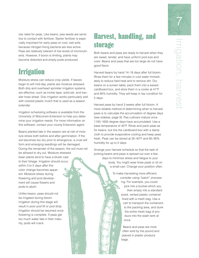

izer rates for peas. Like beans, pea seeds are sensitive to contact with fertilizer. Starter fertilizer is especially important for early peas on cool, wet soils because nitrogen-fixing bacteria are less active. Peas are relatively tolerant of low levels of micronutrients. However, if boron is limiting, plants may become distorted and empty pods produced.

# **Irrigation**

Moisture stress can reduce crop yields. If leaves begin to wilt mid-day, plants are moisture stressed. Both drip and overhead sprinkler irrigation systems are effective, such as trickle tape, solid set, and traveler hose wheel. Drip irrigation works particularly well with colored plastic mulch that is used as a season extender.

Irrigation scheduling software is available from the University of Wisconsin-Extension to help you determine your irrigation needs. For more information on this software, contact your county Extension agent.

Beans planted late in the season are at risk of moisture stress both before and after germination. If the soil becomes too dry prior to emergence, a crust will form and emerging seedlings will be damaged. During the remainder of the season, the soil must not be allowed to dry out. Moisture stressed bean plants tend to have a bluish cast to their foliage. Irrigation should occur within 3 to 5 days after this color change becomes apparent. Moisture stress during flowering and pod development will cause flowers and pods to abort.

Unlike beans, peas should not be irrigated during bloom. Irrigation during this stage will result in poor pod fill or pod drop. Irrigation should be resumed once flowering is complete. If peas get too much water late in their maturity, pods will crack.

# Harvest, handling, and storage

Both beans and peas are ready to harvest when they are sweet, tender, and have uniform pod size and color. Beans and peas that are too large do not have good flavor.

Harvest beans by hand 14–18 days after full bloom. Rinse them for a few minutes in cool water immediately to reduce field heat and to remove dirt. Dry beans on a screen table, pack them into a waxed cardboard box, and store them in a cooler at 41°F and 95% humidity. They will keep in top condition for 5 days.

Harvest peas by hand 3 weeks after full bloom. A more reliable method of determining when to harvest peas is to calculate the accumulation of degree days (see sidebar, page 9). Pea cultivars mature once 1100–1600 degree days have accumulated. Use a base temperature of 40°F. Rinse and pack peas as for beans, but line the cardboard box with a damp cloth to provide evaporative cooling and keep peas fresh. Peas can be stored at 35–40°F and 85–90% humidity for up to 5 days.

Arrange your harvest schedule so that the task of picking beans and peas is spread out over a few days to minimize stress and fatigue to your body. You might wear knee pads or sit on a small cart. Change your position often.

> To make harvesting more efficient, consider using "batch" processing. For example, you could pick into a bucket which you then empty into a standard sized, vented plastic container lined with a mesh bag. Use a cart to transport the containers to the packing area, and dunk the entire mesh bag of produce into the wash tank at once.

> > Beans and peas are most often sold by the pound and placed in plastic produce bags.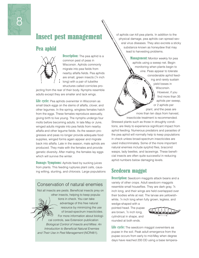

# Insect pest management

### Pea aphid



**Description:** The pea aphid is a common pest of peas in Wisconsin. Aphids commonly migrate into pea fields from nearby alfalfa fields. Pea aphids are small, green insects (1/4 inch long) with a pair of tubelike structures called cornicles pro-

jecting from the rear of their body. Nymphs resemble adults except they are smaller and lack wings.

**Life cycle:** Pea aphids overwinter in Wisconsin as small black eggs on the stems of alfalfa, clover, and other legumes. In the spring, wingless females hatch from the eggs. These females reproduce asexually, giving birth to live young. The nymphs undergo four molts before becoming adults. In late May or June, winged adults migrate into pea fields from nearby alfalfa and other legume fields. As the season progresses and peas no longer provide adequate food supplies, winged forms again appear and migrate back into alfalfa. Late in the season, male aphids are produced. They mate with the females and provide genetic diversity. After mating, the females lay eggs which will survive the winter.

**Damage/Symptoms:** Aphids feed by sucking juices from plants. This feeding ruptures plant cells, causing wilting, stunting, and chlorosis. Large populations

### Conservation of natural enemies

Not all insects are pests. Beneficial insects prey on other insects, helping to keep popula-

tions in check. You can take advantage of this free natural resource by minimizing the use of broad-spectrum insecticides. For more information about biological controls, see Extension publication Biological Control of Insects and Mites: An Introduction to Beneficial Natural Enemies and Their Use in Pest Management (NCR481).

of aphids can kill pea plants. In addition to the physical damage, pea aphids can spread several virus diseases. They also excrete a sticky substance known as honeydew that may lead to harvesting problems.

> **Management:** Monitor weekly for pea aphids using a sweep net. Begin monitoring when plants begin to vine. Peas appear to tolerate considerable aphid feeding and rarely sustain yield losses in Wisconsin. However, if you find more than 35 aphids per sweep, or 2 aphids per plant, and the peas are more than ten days from harvest,

insecticide treatment is recommended. Stressed plants such as those in droughty conditions, are likely to experience significant impact from aphid feeding. Numerous predators and parasites of the pea aphid will normally help to keep populations in check unless broad-spectrum insecticides are used indiscriminately. Some of the more important natural enemies include syrphid flies, braconid wasps, lady beetles, and lacewings. These beneficial insects are often quite successful in reducing aphid numbers below damaging levels.

### Seedcorn maggot

**Description:** Seedcorn maggots attack beans and a variety of other crops. Adult seedcorn maggots resemble small houseflies. They are dark gray, 1/5 inch long, and their wings are held overlapped over their bodies while at rest. The larvae are yellowishwhite, <sup>1</sup> ⁄4 inch long when fully grown, legless, and

wedge-shaped with a pointed head. The pupae are brown, 1/5 inch long, cylindrical in shape, and rounded at both ends.



Life cycle: The seedcorn maggot overwinters as pupae in the soil. Peak adult emergence from the pupae occurs from early to mid-May when degree days have reached 200 DD using a base tempera-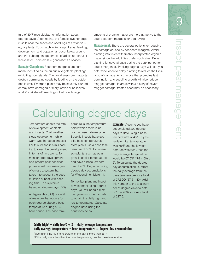

ture of 39°F (see sidebar for information about degree days). After mating, the female lays her eggs in soils near the seeds and seedlings of a wide variety of plants. Eggs hatch in 2–4 days. Larval feeding, development, and pupation all occur below ground and the subsequent generation of adults appear 3–4 weeks later. There are 3–5 generations a season.

**Damage/Symptoms:** Seedcorn maggots are commonly identified as the culprit in vegetable plantings exhibiting poor stands. The larval seedcorn maggots destroy germinating seeds by feeding on the cotyledon leaves. Emerged plants may be severely stunted or may have damaged primary leaves or no leaves at all ("snakehead" seedlings). Fields with large

amounts of organic matter are more attractive to the adult seedcorn maggots for egg-laying.

**Management**: There are several options for reducing the damage caused by seedcorn maggots. Avoid planting into fields with freshly incorporated organic matter since the adult flies prefer such sites. Delay planting for several days during the peak period for adult emergence. Tracking degree days will help you determine when to delay planting to reduce the likelihood of damage. Any practice that promotes fast germination and seedling growth will also reduce maggot damage. In areas with a history of severe maggot damage, treated seed may be necessary.

# Calculating degree days

Temperature affects the rate of development of plants and insects. Cold weather slows development while warm weather accelerates it. For this reason it is misleading to describe development in terms of time alone. To monitor crop development and predict pest behavior, professional pest managers often use a system that takes into account the accumulation of heat with passing time. This system is based on degree days (DD).

A degree day (DD) is a unit of measure that occurs for each degree above a base temperature during a 24 hour period. The base tem-

perature is the temperature below which there is no plant or insect development. Specific insects have specific base temperatures. Most plants use a base temperature of 50°F. Cool-season plants, such as peas, grow in cooler temperatures and have a base temperature of 40°F. Begin recording degree day accumulations for Wisconsin on March 1.

To monitor plant and insect development using degree days, you will need a maximum/minimum thermometer to obtain the daily high and low temperatures. Calculate degree days using the equations below.

**Example:** Assume you have accumulated 200 degree days to date using a base temperatutre of 40°F. If yesterday's high temperature was 75°F and the low temperature was 60°F, then the daily average temperature would be  $67.5^{\circ}$ F  $[(75 + 60) \div$ 2]. To calculate the degree day accumulation, subtract the daily average from the base temperature for a total of 27.5DD (67.5 – 40). Add this number to the total number of degree days to date  $(27.5 + 200)$  for a new total of 227.5.

#### (daily high<sup>a</sup> + daily low<sup>b</sup>)  $\div$  2 = daily average temperature daily average temperature – base temperature **=** degree day accumulation

aUse 86°F if the high temperature for the day is more than 86°F. b<sub>If the daily low is less than the base temperature, use the base temperature.</sub>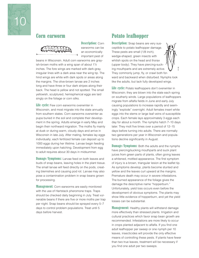

#### Corn earworm



Description: Corn earworms can be an economically important pest of

beans in Wisconsin. Adult corn earworms are grayish-brown moths with a wing span of about 1 $\frac{1}{2}$ inches. The fore wings are marked with dark-gray, irregular lines with a dark area near the wing tip. The hind wings are white with dark spots or areas along the margins. The olive-brown larvae are 2 inches long and have three or four dark stripes along their back. The head is yellow and not spotted. The small yellowish, sculptured, hemispherical eggs are laid singly on the foliage or corn silks.

**Life cycle:** Few corn earworms overwinter in Wisconsin, and most migrate into the state annually from southern states. Corn earworms overwinter as pupa buried in the soil and complete their development in the spring. Adults emerge in early May and begin their northward migration. The moths fly mainly at dusk or during warm, cloudy days and arrive in Wisconsin in late July. After mating, females lay eggs individually; each fertilized female can deposit up to 1000 eggs during her lifetime. Larvae begin feeding immediately upon hatching. Development from egg to adult requires about 30 days in midsummer.

**Damage/Symptoms:** Larvae feed on both leaves and buds of snap beans, leaving holes in the plant tissue. The small larvae will feed directly on the pods, creating blemishes and causing pod rot. Larvae may also pose a contamination problem in snap beans grown for processing.

**Management:** Corn earworms are easily monitored with the use of Hartstack pheromone traps. Traps should be checked daily beginning in July. Treat vulnerable beans if there are five or more moths per trap per night. Snap beans should be sprayed every 5–7 days to control problem populations. Treat until 5 days before harvest.

## Potato leafhopper

**Description:** Snap beans are very susceptible to potato leafhopper damage. These pests are small (1/8 inch), wedge-shaped, green insects with whitish spots on the head and thorax (upper body). They have piercing-sucking mouthparts and are extremely active. They commonly jump, fly, or crawl both forward and backward when disturbed. Nymphs look like the adults, but lack fully developed wings.

I

Life cycle: Potato leafhoppers don't overwinter in Wisconsin; they are blown into the state each spring on southerly winds. Large populations of leafhoppers migrate from alfalfa fields in June and early July causing populations to increase rapidly and seemingly "explode" overnight. Adult females insert white eggs into the stems or large leaf veins of susceptible crops. Each female lays approximately 3 eggs each day for about a month. The nymphs hatch 7–10 days later. They molt five times over a period of 12–15 days before turning into adults. There are normally two generations per year in Wisconsin and populations decline significantly in August.

**Damage/Symptoms:** Both the adults and the nymphs have piercing/sucking mouthparts and suck plant juices from green parts of plants, often giving leaves a whitened, mottled appearance. The first symptom of injury is a brown, triangular lesion at the leaflet tip. As symptoms develop, plants become stunted and yellow and the leaves curl upward at the margins. Premature death may occur in severe infestations. The burned appearance of the foliage gives the damage the descriptive name "hopperburn." Unfortunately, yield loss occurs even before the development of obvious symptoms. The plants may show little evidence of hopperburn, and yet the yield losses can be substantial.

**Management:** Healthy plants will withstand damage more effectively than stressed plants. Irrigation and cultural practices which favor snap bean growth are recommended. Infestations are more likely to occur in crops planted adjacent to alfalfa. If you find one adult leafhopper per sweep or one nymph per 10 leaves, insecticides will provide the only effective means of controlling these pests. If plants have fewer than two true leaves, treatment will be necessary if you find one adult per two sweeps.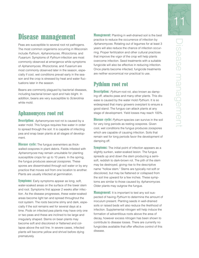# Disease management

Peas are susceptible to several root rot pathogens. The most common organisms occurring in Wisconsin include Pythium, Aphanomyces, Rhizoctonia, and Fusarium. Symptoms of Pythium infection are most commonly observed at emergence while symptoms of Aphanomyces, Rhizoctonia, and Fusarium are most commonly observed later in the season, especially if cool, wet conditions prevail early in the season and the crop is stressed by heat and water fluctuations later in the season.

Beans are commonly plagued by bacterial diseases, including bacterial brown spot and halo blight. In addition, beans are very susceptible to Sclerotinia white mold.

### Aphanomyces root rot

**Description:** Aphanomyces root rot is caused by a water mold. This fungus requires free water in order to spread through the soil. It is capable of infecting pea and snap bean plants at all stages of development.

**Disease cycle:** The fungus overwinters as thickwalled oospores in plant debris. Fields infested with Aphanomyces may remain unsuitable for planting susceptible crops for up to 10 years. In the spring, the fungus produces asexual zoospores. These spores are disseminated through soil water or by any practice that moves soil from one location to another. Plants are usually infected at germination.

**Symptoms:** Early symptoms appear as long, soft, water-soaked areas on the surface of the lower stem and root. Symptoms first appear 2 weeks after infection. As the disease progresses, these water-soaked areas become light tan and spread throughout the root system. The roots become slimy and dark, especially if the soil remains wet for several days at a time. Pods on infected pea plants may have only one or two peas and these are inclined to be large and irregularly shaped. Stems on bean plants may become soft and discolored or flattened and collapse above the soil line. In severe cases, infected plants will become yellow and shrivel before dying prematurely.

**Management:** Planting in well-drained soil is the best practice to reduce the occurrence of infection by Aphanomyces. Rotating out of legumes for at least 3 years will also reduce the chance of infection occurring. Proper fertilization and other cultural practices that improve the vigor of the crop will help plants overcome infection. Seed treatments with a suitable fungicide will also be effective in reducing infection. Once plants become infected, fungicide treatments are neither economical nor practical to use.

## Pythium root rot

**Description:** Pythium root rot, also known as damping off, attacks peas and many other plants. This disease is caused by the water mold Pythium. It is so widespread that many growers overplant to ensure a good stand. The fungus can attack plants at any stage of development. Yield losses may reach 100%.

**Disease cycle:** Pythium species can survive in the soil for very long periods as resting oospores. Given cool, wet conditions the fungus produces zoospores which are capable of causing infection. Soils that remain wet for long periods favor the development of damping off.

**Symptoms:** The initial point of infection appears as a slightly sunken, water-soaked lesion. The fungus spreads up and down the stem producing a semisoft, reddish to dark-brown rot. The pith of the stem may be destroyed, giving rise to the descriptive name "hollow stem." Stems are typically not soft or discolored, but may be flattened or collapsed from the soil line upward for a few inches. These symptoms are similar to those caused by Aphanomyces. Older plants may outgrow the fungus.

**Management:** It is important to test any soil suspected of having Pythium to determine the amount of inoculum present. Planting seeds in well-drained soils or raised beds will also reduce the likelihood of infection. Supplemental nitrogen will help induce the formation of adventitious roots above the area of decay, however excess nitrogen has been shown to contribute to disease losses. There are currently no fungicides available that offer effective control of this disease.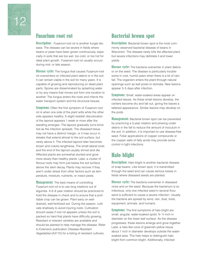

### Fusarium root rot

**Description:** Fusarium root rot is another fungal disease. The disease can be severe in fields where beans or peas have been grown continuously, especially in soils that are too wet, too cold, or too hot for ideal plant growth. Fusarium root rot usually occurs during mid- or late season.

**Disease cycle:** The fungus that causes *Fusarium* root rot overwinters on infected plant debris or in the soil. It can remain viable in the soil for many years. It is capable of growing and reproducing on dead plant parts. Spores are disseminated by splashing water or by any means that moves soil from one location to another. The fungus enters the roots and infects the water transport system and the structural tissues.

**Symptoms:** Often the first symptom of *Fusarium* root rot is when one side of the plant wilts while the other side appears healthy. A slight reddish discoloration of the taproot appears 1 week or more after the seedling emerges. The taproot gradually turns brick red as the infection spreads. The diseased tissue may not have a distinct margin, or it may occur in streaks that extend almost to the soil surface, but rarely above it. The infected taproot later becomes brown and cracks lengthwise. The small lateral roots and the end of the taproot usually shrivel and die. Affected plants are somewhat stunted and grow more slowly than healthy plants. Later, a cluster of fibrous roots may form just below the soil surface above the stem decay. Plants may recover if they aren't under stress from other factors such as temperature, moisture, nutrients, or insect pests.

**Management:** The best means of controlling Fusarium root rot is to use long rotations out of legumes. A 6–8 year rotation should be practiced to hold the disease in check and to ensure that a profitable crop can be grown. Plant early on welldrained, well-fertilized soil. During the season, cultivate shallowly to avoid injuring roots. Cultivation should cease if root rot appears unless the soil is packed so hard that plants have difficulty growing. Resistant or tolerant varieties are available and should be planted to help manage the disease. Refer to Extension publication Disease-Resistant Vegetables (A3110) for a listing of resistant cultivars.

### Bacterial brown spot

**Description:** Bacterial brown spot is the most commonly observed bacterial disease of beans in Wisconsin. The disease rarely kills the affected plant, but severe infections may defoliate it and lower yields.

**Disease cycle:** The bacteria overwinter in plant debris or on the seed. The disease is particularly troublesome in cool, humid years when there is a lot of rainfall. The organism enters the plant through natural openings such as leaf pores or stomata. New lesions appear 3–5 days after infection.

**Symptoms:** Small, water-soaked areas appear on infected leaves. As these small lesions develop, the centers become dry and fall out, giving the leaves a tattered appearance. Similar lesions may develop on the pods.

**Management:** Bacterial brown spot can be prevented by practicing a 3-year rotation and plowing under debris in the fall to reduce the amount of inoculum in the soil. In addition, it is important to use disease-free seed. Foliar applications of copper compounds or the copper salts of fatty acids may provide some control in light infections.

### Halo blight

**Description:** Halo blight is another bacterial disease of snap beans. Like brown spot, it is transmitted through the seed and can cause serious losses in fields where diseased seeds are planted.

**Disease cycle:** The bacteria overwinter in diseased vines and on the seed. Because the bacterium is so infectious, only one infected seed in several thousand is sufficient to cause a severe infection. Usually the bacteria are spread by wind, rain, dust, tools, equipment, animals, and humans.

**Symptoms:** The first symptoms of halo blight are small, angular, water-soaked spots 1/8-1/4 inch in diameter on the lower leaf surface. As the disease progresses, these lesions enlarge and grow together. Later, a halo-like cone of greenish-yellow tissue about 1 inch in diameter develops outside the watersoaked area. This halo helps to distinguish halo blight from common blight. Additionally, infected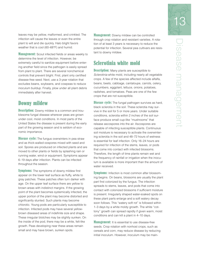leaves may be yellow, malformed, and crinkled. The infection will cause the leaves or even the entire plant to wilt and die quickly. Halo blight favors weather that is cool (60–68°F) and humid.

**Management:** Scout infected fields or areas weekly to determine the level of infection. However, be extremely careful to sanitize equipment before entering another field since the pathogen is easily spread from plant to plant. There are several nonchemical controls that prevent blight. First, plant only certified disease-free seed. Next, use a 3-year rotation that excludes beans, soybeans, and cowpeas to reduce inoculum buildup. Finally, plow under all plant debris immediately after harvest.

### Downy mildew

**Description:** Downy mildew is a common and troublesome fungal disease wherever peas are grown under cool, moist conditions. In most parts of the United States the disease is present during the early part of the growing season and is seldom of economic importance.

**Disease cycle:** The fungus overwinters in pea straw and as thick-walled oospores mixed with seed and soil. Spores are produced on infected plants and are moved to other plants or fields by splashing rain or running water, wind or equipment. Symptoms appear 6–19 days after infection. Plants can be infected throughout the season.

**Symptoms:** The symptoms of downy mildew first appear on the lower leaf surface as fluffy, white to gray patches. These patches often turn darker with age. On the upper leaf surface there are yellow to brown areas with indistinct margins. If the growing point of the plant becomes systemically infected, the upper portion of the plant may become distorted and significantly stunted. Such plants may become chlorotic. Young pods are particularly susceptible to infection. Infected pods may have several yellowbrown diseased areas of indefinite size and shape. These irregular blotches may be slightly sunken. On the inside of the pod, there may be a white, felt-like growth. Peas developing near these areas remain small and may have brown, sunken spots.

**Management:** Downy mildew can be controlled through crop rotation and resistant varieties. A rotation of at least 3 years is necessary to reduce the potential for infection. Several pea cultivars are resistant to downy mildew.

### Sclerotinia white mold

**Description:** Many plants are susceptible to Sclerotinia white mold, including nearly all vegetable crops. A few of the species affected include alfalfa, beans, beets, cabbage, cantaloupe, carrots, celery, cucumbers, eggplant, lettuce, onions, potatoes, radishes, and tomatoes. Peas are one of the few crops that are not susceptible.

**Disease cycle:** The fungal pathogen survives as hard, black sclerotia in the soil. These sclerotia may survive in the soil for 5 or more years. Under suitable conditions, sclerotia within 2 inches of the soil surface produce small cup-like "mushrooms" that release ascospores into the air. Ascospores are capable of infecting susceptible plants. Continuous soil moisture is necessary to activate the overwintering sclerotia in the soil and 48–72 hours of wetness is essential for leaf infection. Only 16–24 hours are required for infection of the stems, leaves, or pods that come into contact with infected blossoms. Therefore, the length of time plants remain wet and the frequency of rainfall or irrigation when the inoculum is available is more important than the amount of water received.

**Symptoms:** Infection is most common after blossoming begins. On beans, blossoms are usually the plant part first colonized by the fungus. The infection spreads to stems, leaves, and pods that come into contact with colonized blossoms if sufficient moisture is present. Irregularly shaped water-soaked spots on these plant parts enlarge and a soft watery decay soon follows. This "watery soft rot" is followed within 1–3 days by a white moldy growth. The white "cottony" growth can spread rapidly if given warm, moist conditions and can kill a plant in 4–10 days.

**Management:** It is essential to use disease-free seeds. Crop rotation with nonhost crops, such as cereals and corn, may reduce disease by reducing initial inoculum. However, inoculum may be main-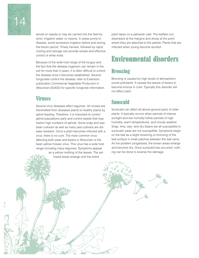

tained on weeds or may be carried into the field by wind, irrigation water, or insects. In areas prone to disease, avoid excessive irrigation before and during the bloom period. Timely harvest, followed by rapid cooling and storage can provide simple and effective control of white mold.

Because of the wide host range of the fungus and the fact that the disease organism can remain in the soil for more than 5 years, it is often difficult to control the disease once it becomes established. Several fungicides control the disease; refer to Extension publication Commercial Vegetable Production in Wisconsin (A3422) for specific fungicide information.

### Viruses

Several virus diseases affect legumes. All viruses are transmitted from diseased plants to healthy plants by aphid feeding. Therefore, it is important to control aphid populations early and control weeds that may harbor high numbers of aphids. Some snap and wax bean cultivars as well as many pea cultivars are disease resistant. Once a plant becomes infected with a virus, there is no cure. The most common virus affecting both peas and beans in Wisconsin is the bean yellow mosaic virus. This virus has a wide host range including many legumes. Symptoms appear

> as a yellow mottling of the leaves. The yellowed areas enlarge until the entire

plant takes on a yellowish cast. The leaflets curl downward at the margins and droop at the point where they are attached to the petiole. Plants that are infected when young become stunted.

# Environmental disorders

# **Bronzing**

Bronzing is caused by high levels of atmospheric ozone pollutants. It causes the leaves of beans to become bronze in color. Typically this disorder will not affect yield.

# Sunscald

Sunscald can affect all above-ground parts of older plants. It typically occurs when periods of intense sunlight and low humidity follow periods of high humidity, warm temperatures, and cloudy weather. Snap, lima, wax, and dry beans are all susceptible to sunscald; peas are not susceptible. Symptoms begin on the leaf as a slight browning or bronzing of the leaf surface in small patches between the leaf veins. As the problem progresses, the brown areas enlarge and become dry. Once sunscald has occurred, nothing can be done to reverse the damage.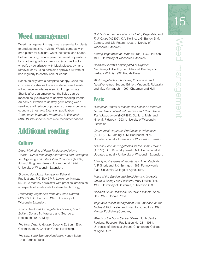# Weed management

Weed management in legumes is essential for plants to produce maximum yields. Weeds compete with crop plants for sunlight, water, nutrients, and space. Before planting, reduce perennial weed populations by smothering with a cover crop (such as buckwheat), by solarization with black plastic, by hand removal, or by using herbicide sprays. Cultivate or hoe regularly to control annual weeds.

Beans quickly form a complete canopy. Once the crop canopy shades the soil surface, weed seeds will not receive adequate sunlight to germinate. Shortly after pea emergence, the fields can be mechanically cultivated to destroy seedling weeds. An early cultivation to destroy germinating weed seedlings will reduce populations of weeds below an economic threshold. Extension publication Commercial Vegetable Production in Wisconsin (A3422) lists specific herbicide recommendations.

# Additional reading

### **Culture**

Direct Marketing of Farm Produce and Home Goods—Direct Marketing Alternatives and Strategies for Beginning and Established Producers (A3602). John Cottingham, James Hovland, et al. 1994. University of Wisconsin-Extension.

Growing For Market Newsletter. Fairplain Publications, P.O. Box 3747, Lawrence, Kansas 66046. A monthly newsletter with practical articles on all aspects of small-scale fresh market farming,

Harvesting Vegetables from the Home Garden (A2727). H.C. Harrison. 1996. University of Wisconsin-Extension.

Knotts Handbook for Vegetable Growers, Fourth Edition. Donald N. Maynard and George J. Hochmuth. 1997. Wiley.

The New Organic Grower. Second Edition. . Eliot Coleman. 1995. Chelsea Green Publishing.

The New Seed Starters Handbook. Nancy Bubel. 1988. Rodale Press.

Soil Test Recommendations for Field, Vegetable, and Fruit Crops (A2809). K.A. Kelling, L.G. Bundy, S.M. Combs, and J.B. Peters. 1998. University of Wisconsin-Extension.

Storing Vegetables at Home (A1135). H.C. Harrison. 1996. University of Wisconsin-Extension.

Rodales All New Encyclopedia of Organic Gardening. Edited by Fern Marshall Bradley and Barbara W. Ellis.1992. Rodale Press.

World Vegetables: Principles, Production, and Nutritive Values. Second Edition. Vincent E. Rubatzky and Mas Yamaguchi. 1997. Chapman and Hall.

### Pests

Biological Control of Insects and Mites: An introduction to Beneficial Natural Enemies and Their Use in Pest Management (NCR481). Daniel L. Mahr and Nino M. Ridgway. 1993. University of Wisconsin-Extension

Commercial Vegetable Production in Wisconsin (A3422). L.K. Binning, C.M. Boerboom, et al. Updated annually. University of Wisconsin-Extension.

Disease-Resistant Vegetables for the Home Garden (A3110). D.E. Brown-Rytlewski, M.F. Heimann, et al. Updated annually. University of Wisconsin-Extension.

Identifying Diseases of Vegetables. A. A. MacNab, A. F. Sherf, and J.K. Springer. 1983. Pennsylvania State University College of Agriculture.

Pests of the Garden and Small Farm: A Grower's Guide to Using Less Pesticide. Mary Louise Flint. 1990. University of California, publication #3332.

Rodale's Color Handbook of Garden Insects. Anna Carr. 1979. Rodale Press.

Vegetable Insect Management with Emphasis on the Midwest. Rick Foster and Brian Flood, editors. 1995. Meister Publishing Company.

Weeds of the North Central States. North Central Regional Research Publication No. 281. 1981. University of Illinois at Urbana-Champaign, College of Agriculture.